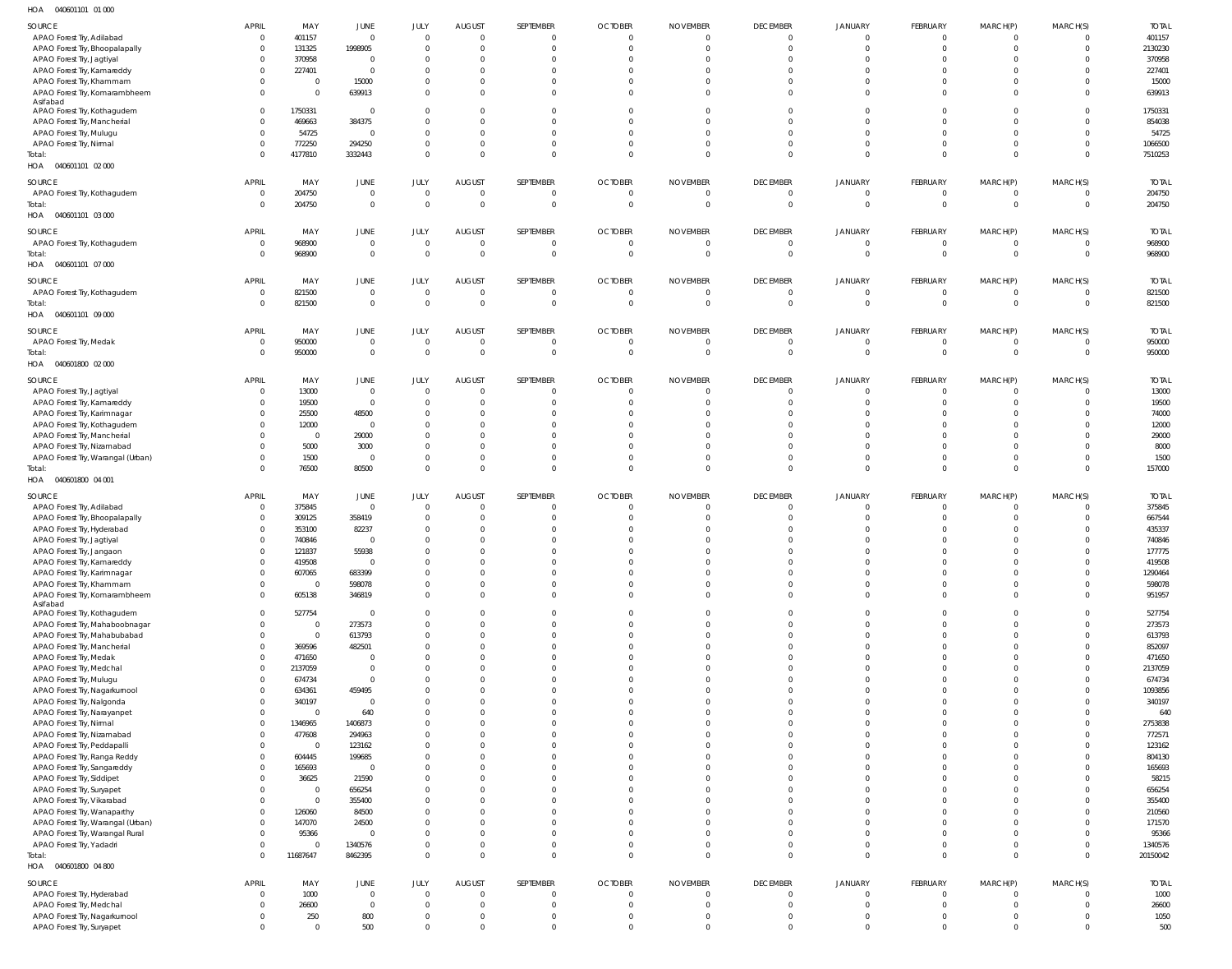040601101 01 000 HOA

| $\cdots$<br><b>OTOOOTIOI</b> OI OOU |                |                |                |                |                |           |                |                 |                 |                |                |                |                |              |
|-------------------------------------|----------------|----------------|----------------|----------------|----------------|-----------|----------------|-----------------|-----------------|----------------|----------------|----------------|----------------|--------------|
| SOURCE                              | <b>APRIL</b>   | MAY            | JUNE           | JULY           | <b>AUGUST</b>  | SEPTEMBER | <b>OCTOBER</b> | <b>NOVEMBER</b> | <b>DECEMBER</b> | <b>JANUARY</b> | FEBRUARY       | MARCH(P)       | MARCH(S)       | <b>TOTAL</b> |
| APAO Forest Try, Adilabad           | $\mathbf 0$    | 401157         | $\mathbf{0}$   | $\Omega$       | $\overline{0}$ |           | $\Omega$       | - 0             | $\overline{0}$  | $\Omega$       | $\Omega$       | $\Omega$       | $\Omega$       | 401157       |
|                                     |                |                |                |                |                |           |                |                 |                 |                |                |                |                |              |
| APAO Forest Try, Bhoopalapally      | $\mathbf 0$    | 131325         | 1998905        | $\Omega$       | $\mathbf 0$    |           | $\Omega$       | $\Omega$        | $\overline{0}$  | $\Omega$       | $\Omega$       | $\Omega$       | $\Omega$       | 2130230      |
| APAO Forest Try, Jagtiyal           | $\Omega$       | 370958         | $\overline{0}$ | $\Omega$       | $\Omega$       |           |                | $\Omega$        | $\Omega$        | $\Omega$       | $\Omega$       | $\Omega$       | $\Omega$       | 370958       |
| APAO Forest Try, Kamareddy          | $\Omega$       | 227401         | $\overline{0}$ | $\Omega$       | $\Omega$       |           |                |                 | $\Omega$        | $\Omega$       | $\Omega$       | $\Omega$       | <sup>0</sup>   | 227401       |
| APAO Forest Try, Khammam            | $\Omega$       | $\mathbf 0$    | 15000          | $\Omega$       | $\Omega$       |           |                | $\Omega$        | $\Omega$        | $\Omega$       | $\Omega$       | $\Omega$       | <sup>0</sup>   | 15000        |
| APAO Forest Try, Komarambheem       | $\Omega$       | $\mathbf 0$    | 639913         | $\Omega$       | $\Omega$       | $\Omega$  |                | $\Omega$        | $\Omega$        | $\Omega$       | $\Omega$       | $\Omega$       | $\Omega$       | 639913       |
| Asifabad                            |                |                |                |                |                |           |                |                 |                 |                |                |                |                |              |
| APAO Forest Try, Kothagudem         | $\overline{0}$ | 1750331        | $\overline{0}$ | $\Omega$       | $\Omega$       |           |                | $\Omega$        | $\Omega$        | $\Omega$       | $\Omega$       | $\Omega$       | $\Omega$       | 1750331      |
| APAO Forest Try, Mancherial         | $\Omega$       | 469663         | 384375         | $\Omega$       | $\Omega$       |           |                |                 | $\Omega$        | $\Omega$       | $\Omega$       | $\Omega$       | <sup>0</sup>   | 854038       |
|                                     |                |                |                |                |                |           |                |                 |                 |                |                |                |                |              |
| APAO Forest Try, Mulugu             | $\Omega$       | 54725          | $\overline{0}$ | $\Omega$       | $\Omega$       |           |                | $\Omega$        | $\Omega$        | $\Omega$       | $\Omega$       | $\Omega$       | $\Omega$       | 54725        |
| APAO Forest Try, Nirmal             | $\Omega$       | 772250         | 294250         | $\Omega$       | $\mathbf 0$    | $\Omega$  |                | $\Omega$        | $\Omega$        | $\Omega$       | $\Omega$       | $\Omega$       | $\Omega$       | 1066500      |
| Total:                              | $\Omega$       | 4177810        | 3332443        | $\Omega$       | $\Omega$       | $\Omega$  |                | $\Omega$        | $\Omega$        | $\Omega$       | $\Omega$       | $\Omega$       | $\Omega$       | 7510253      |
| HOA  040601101  02  000             |                |                |                |                |                |           |                |                 |                 |                |                |                |                |              |
|                                     |                |                |                |                |                |           |                |                 |                 |                |                |                |                |              |
| SOURCE                              | <b>APRIL</b>   | MAY            | JUNE           | JULY           | <b>AUGUST</b>  | SEPTEMBER | <b>OCTOBER</b> | <b>NOVEMBER</b> | <b>DECEMBER</b> | <b>JANUARY</b> | FEBRUARY       | MARCH(P)       | MARCH(S)       | <b>TOTAL</b> |
| APAO Forest Try, Kothagudem         | $\mathbf 0$    | 204750         | $\mathbf 0$    | $\Omega$       | $\mathbf 0$    | - 0       | $^{\circ}$     | 0               | $\overline{0}$  | $\overline{0}$ | $\overline{0}$ | $\overline{0}$ | $\mathbf{0}$   | 204750       |
| Total:                              | $\Omega$       | 204750         | $\mathbb O$    | $\Omega$       | $\overline{0}$ | $\Omega$  | $\Omega$       | $\circ$         | $\overline{0}$  | $\overline{0}$ | $\Omega$       | $\overline{0}$ | $\mathbf{0}$   | 204750       |
| 040601101 03 000<br>HOA             |                |                |                |                |                |           |                |                 |                 |                |                |                |                |              |
|                                     |                |                |                |                |                |           |                |                 |                 |                |                |                |                |              |
| SOURCE                              | <b>APRIL</b>   | MAY            | JUNE           | JULY           | <b>AUGUST</b>  | SEPTEMBER | <b>OCTOBER</b> | <b>NOVEMBER</b> | <b>DECEMBER</b> | <b>JANUARY</b> | FEBRUARY       | MARCH(P)       | MARCH(S)       | <b>TOTAL</b> |
| APAO Forest Try, Kothagudem         | $\mathbf 0$    | 968900         | $\mathbf 0$    | $\Omega$       | $\overline{0}$ |           | $\Omega$       | $\circ$         | $\overline{0}$  | $\Omega$       | $\Omega$       | $\overline{0}$ | $\Omega$       | 968900       |
|                                     |                |                |                | $\Omega$       |                | $\Omega$  |                |                 |                 |                |                |                |                |              |
| Total:                              | $\Omega$       | 968900         | $\overline{0}$ |                | $\mathbf{0}$   |           | $\Omega$       | $\Omega$        | $\overline{0}$  | $\overline{0}$ | $\Omega$       | $\overline{0}$ | $\overline{0}$ | 968900       |
| HOA  040601101  07 000              |                |                |                |                |                |           |                |                 |                 |                |                |                |                |              |
| SOURCE                              | <b>APRIL</b>   | MAY            | <b>JUNE</b>    | JULY           | <b>AUGUST</b>  | SEPTEMBER | <b>OCTOBER</b> | <b>NOVEMBER</b> | <b>DECEMBER</b> | <b>JANUARY</b> | FEBRUARY       | MARCH(P)       | MARCH(S)       | <b>TOTAL</b> |
|                                     |                |                |                |                |                |           |                |                 |                 |                |                |                |                |              |
| APAO Forest Try, Kothagudem         | $\mathbf 0$    | 821500         | $\mathbf 0$    | $\overline{0}$ | $\overline{0}$ |           | $^{\circ}$     | - 0             | $\overline{0}$  | $\overline{0}$ | $\overline{0}$ | $\overline{0}$ | $\Omega$       | 821500       |
| Total:                              | $\mathbf 0$    | 821500         | $\overline{0}$ | $\Omega$       | $\overline{0}$ | $\Omega$  | $\mathbf 0$    | $\circ$         | $\overline{0}$  | $\overline{0}$ | $\overline{0}$ | $\overline{0}$ | $\overline{0}$ | 821500       |
| HOA  040601101  09  000             |                |                |                |                |                |           |                |                 |                 |                |                |                |                |              |
|                                     |                |                |                |                |                |           |                |                 |                 |                |                |                |                |              |
| SOURCE                              | <b>APRIL</b>   | MAY            | JUNE           | JULY           | <b>AUGUST</b>  | SEPTEMBER | <b>OCTOBER</b> | <b>NOVEMBER</b> | <b>DECEMBER</b> | <b>JANUARY</b> | FEBRUARY       | MARCH(P)       | MARCH(S)       | <b>TOTAL</b> |
| APAO Forest Try, Medak              | $\overline{0}$ | 950000         | $\mathbf 0$    | $\Omega$       | $\mathbf 0$    | - 0       | $^{\circ}$     | $\overline{0}$  | $\overline{0}$  | $\overline{0}$ | $\Omega$       | $\overline{0}$ | $\Omega$       | 950000       |
| Total:                              | $\Omega$       | 950000         | $\overline{0}$ | $\Omega$       | $\mathbf{0}$   | $\Omega$  | $\Omega$       | $\overline{0}$  | $\overline{0}$  | $\Omega$       | $\Omega$       | $\overline{0}$ | $\Omega$       | 950000       |
| 040601800 02 000                    |                |                |                |                |                |           |                |                 |                 |                |                |                |                |              |
| HOA                                 |                |                |                |                |                |           |                |                 |                 |                |                |                |                |              |
| SOURCE                              | <b>APRIL</b>   | MAY            | JUNE           | JULY           | <b>AUGUST</b>  | SEPTEMBER | <b>OCTOBER</b> | <b>NOVEMBER</b> | <b>DECEMBER</b> | <b>JANUARY</b> | FEBRUARY       | MARCH(P)       | MARCH(S)       | <b>TOTAL</b> |
|                                     | $\overline{0}$ | 13000          | $\mathbf 0$    | $\Omega$       | $\mathbf{0}$   | - 0       | $^{\circ}$     | $\circ$         | $\overline{0}$  | $\overline{0}$ | $\Omega$       | $\overline{0}$ | $\mathbf{0}$   | 13000        |
| APAO Forest Try, Jagtiyal           |                |                |                |                |                |           |                |                 |                 |                |                |                |                |              |
| APAO Forest Try, Kamareddy          | $\mathbf 0$    | 19500          | $\mathbf 0$    | $\overline{0}$ | $\overline{0}$ | $\Omega$  | -C             | - 0             | $\overline{0}$  | $\Omega$       | $\Omega$       | $\overline{0}$ | $\Omega$       | 19500        |
| APAO Forest Try, Karimnagar         | $\Omega$       | 25500          | 48500          | $\Omega$       | $\mathbf 0$    |           |                | $\Omega$        | $\Omega$        | $\Omega$       | $\Omega$       | $\Omega$       | $\Omega$       | 74000        |
| APAO Forest Try, Kothagudem         | $\Omega$       | 12000          | $\mathbf 0$    | $\Omega$       | $\overline{0}$ |           |                |                 | $\Omega$        | $\Omega$       | $\Omega$       | $\Omega$       | $\Omega$       | 12000        |
| APAO Forest Try, Mancherial         | U              | $\overline{0}$ | 29000          | $\Omega$       | $\Omega$       |           |                |                 | $\Omega$        | $\Omega$       |                | $\Omega$       | $\Omega$       | 29000        |
| APAO Forest Try, Nizamabad          | $\Omega$       | 5000           | 3000           | $\Omega$       | $\mathbf 0$    |           |                | $\Omega$        | $\Omega$        | $\Omega$       | $\Omega$       | $\Omega$       | $\Omega$       | 8000         |
|                                     |                |                |                |                |                |           |                |                 |                 |                |                |                |                |              |
| APAO Forest Try, Warangal (Urban)   | $\Omega$       | 1500           | $\mathbf 0$    | $\Omega$       | $\overline{0}$ | $\Omega$  |                | $\Omega$        | $\overline{0}$  | $\Omega$       | $\Omega$       | $\overline{0}$ | $\Omega$       | 1500         |
| Total:                              | $\Omega$       | 76500          | 80500          | $\Omega$       | $\mathbf{0}$   | $\Omega$  | $\Omega$       | $\Omega$        | $\Omega$        | $\Omega$       | $\Omega$       | $\Omega$       | $\Omega$       | 157000       |
|                                     |                |                |                |                |                |           |                |                 |                 |                |                |                |                |              |
| HOA<br>040601800 04 001             |                |                |                |                |                |           |                |                 |                 |                |                |                |                |              |
|                                     |                |                |                |                |                |           |                |                 |                 |                |                |                |                |              |
| SOURCE                              | <b>APRIL</b>   | MAY            | JUNE           | JULY           | <b>AUGUST</b>  | SEPTEMBER | <b>OCTOBER</b> | <b>NOVEMBER</b> | <b>DECEMBER</b> | <b>JANUARY</b> | FEBRUARY       | MARCH(P)       | MARCH(S)       | <b>TOTAL</b> |
| APAO Forest Try, Adilabad           | $^{\circ}$     | 375845         | $\overline{0}$ | $\Omega$       | $\Omega$       |           |                | $\Omega$        | $\Omega$        | $\Omega$       | $\Omega$       | - 0            | $\Omega$       | 375845       |
|                                     | $\mathbf 0$    | 309125         | 358419         | $\Omega$       | $\mathbf 0$    |           | $\Omega$       | $\Omega$        | $\Omega$        | $\Omega$       | $\Omega$       | $\Omega$       | $\Omega$       | 667544       |
| APAO Forest Try, Bhoopalapally      |                |                |                |                |                |           |                |                 | $\Omega$        | $\Omega$       | $\Omega$       | $\Omega$       | 0              |              |
| APAO Forest Try, Hyderabad          | $\Omega$       | 353100         | 82237          | $\Omega$       | $\Omega$       |           |                |                 |                 |                |                |                |                | 435337       |
| APAO Forest Try, Jagtiyal           | $\Omega$       | 740846         | $\Omega$       | $\Omega$       | $\Omega$       |           |                |                 | $\Omega$        | $\Omega$       | $\Omega$       | $\Omega$       |                | 740846       |
| APAO Forest Try, Jangaon            | $\Omega$       | 121837         | 55938          | $\Omega$       | $\Omega$       |           |                | $\Omega$        | $\Omega$        | $\Omega$       | $\Omega$       | $\Omega$       | $\Omega$       | 177775       |
| APAO Forest Try, Kamareddy          |                | 419508         |                |                |                |           |                |                 |                 |                |                |                |                | 419508       |
| APAO Forest Try, Karimnagar         | $\Omega$       | 607065         | 683399         | $\Omega$       | $\Omega$       |           |                |                 | $\Omega$        | $\Omega$       | $\Omega$       | $\Omega$       | $\Omega$       | 1290464      |
|                                     | $\mathbf 0$    | $\overline{0}$ |                | $\Omega$       | $\mathbf 0$    | $\Omega$  | $\Omega$       | $\Omega$        |                 |                | $\overline{0}$ | $\Omega$       | $\Omega$       |              |
| APAO Forest Try, Khammam            |                |                | 598078         |                |                |           |                |                 | $\overline{0}$  | $\overline{0}$ |                |                |                | 598078       |
| APAO Forest Try, Komarambheem       | $\Omega$       | 605138         | 346819         | $\Omega$       | $\Omega$       | $\Omega$  | $\Omega$       | $\Omega$        | $\Omega$        | $\Omega$       | $\Omega$       | $\Omega$       | $\Omega$       | 951957       |
| Asifabad                            |                |                |                |                |                |           |                | $\Omega$        |                 |                |                |                |                |              |
| APAO Forest Try, Kothagudem         | $\Omega$       | 527754         | $\overline{0}$ | $\Omega$       | $\Omega$       |           |                |                 | $\Omega$        | $\Omega$       | $\Omega$       | $\Omega$       |                | 527754       |
| APAO Forest Try, Mahaboobnagar      | $\Omega$       | $\overline{0}$ | 273573         | $\Omega$       | $\Omega$       |           |                | $\Omega$        | $\Omega$        | $\Omega$       | $\Omega$       | $\Omega$       | $\Omega$       | 273573       |
| APAO Forest Try, Mahabubabad        | $\Omega$       | $\mathbf 0$    | 613793         | $\Omega$       | $\Omega$       |           |                | $\Omega$        | $\Omega$        | $\Omega$       | $\Omega$       | $\Omega$       | $\Omega$       | 613793       |
| APAO Forest Try, Mancherial         | $\Omega$       | 369596         | 482501         | $\Omega$       | $\Omega$       |           |                | $\Omega$        | $\Omega$        | $\Omega$       | $\Omega$       | $\Omega$       | <sup>0</sup>   | 852097       |
| APAO Forest Try, Medak              | $\Omega$       | 471650         | $\overline{0}$ | $\Omega$       | $\Omega$       |           |                |                 | $\Omega$        | $\Omega$       | $\Omega$       | $\Omega$       |                | 471650       |
| APAO Forest Try, Medchal            | $\mathbf 0$    | 2137059        | $\mathbf 0$    | $\Omega$       | $\Omega$       |           |                | $\Omega$        | $\Omega$        | $\Omega$       | $\Omega$       | $\Omega$       |                | 2137059      |
|                                     | $\Omega$       |                | $\mathbf{0}$   | $\Omega$       | $\Omega$       |           |                |                 | $\Omega$        | $\Omega$       | $\Omega$       | $\Omega$       |                |              |
| APAO Forest Try, Mulugu             |                | 674734         |                |                |                |           |                |                 |                 |                |                |                |                | 674734       |
| APAO Forest Try, Nagarkurnool       | $\Omega$       | 634361         | 459495         | $\Omega$       | $\Omega$       |           |                |                 | $\Omega$        | $\Omega$       | $\Omega$       | $\Omega$       |                | 1093856      |
| APAO Forest Try, Nalgonda           | $\Omega$       | 340197         | $\overline{0}$ | $\Omega$       | $\Omega$       |           |                |                 | $\Omega$        | $\Omega$       | $\Omega$       | $\Omega$       |                | 340197       |
| APAO Forest Try, Narayanpet         | $\Omega$       | $\Omega$       | 640            | $\Omega$       | $\Omega$       |           |                | $\Omega$        | $\Omega$        | $\Omega$       | $\Omega$       | $\Omega$       |                | 640          |
| APAO Forest Try, Nirmal             | $\mathbf 0$    | 1346965        | 1406873        | $\Omega$       | $\Omega$       |           |                |                 | $\Omega$        | $\Omega$       | $\Omega$       | $\Omega$       |                | 2753838      |
|                                     | $\Omega$       | 477608         | 294963         | $\Omega$       | $\Omega$       |           |                |                 | $\Omega$        | $\Omega$       | $\Omega$       | $\Omega$       | <sup>0</sup>   | 772571       |
| APAO Forest Try, Nizamabad          | $\Omega$       | $\overline{0}$ |                | $\Omega$       | $\Omega$       |           |                |                 | $\Omega$        | $\Omega$       | $\Omega$       | $\Omega$       |                |              |
| APAO Forest Try, Peddapalli         |                |                | 123162         |                |                |           |                |                 |                 |                |                |                |                | 123162       |
| APAO Forest Try, Ranga Reddy        | $\mathbf 0$    | 604445         | 199685         | $\Omega$       | $\Omega$       |           |                | $\Omega$        | $\Omega$        | $\Omega$       | $\Omega$       | $\Omega$       | <sup>0</sup>   | 804130       |
| APAO Forest Try, Sangareddy         | $\Omega$       | 165693         | $\overline{0}$ | $\Omega$       | $\Omega$       |           |                |                 | $\Omega$        | $\Omega$       | $\Omega$       | $\Omega$       |                | 165693       |
| APAO Forest Try, Siddipet           |                | 36625          | 21590          | $\Omega$       | $\Omega$       |           |                | $\Omega$        | $\Omega$        | $\Omega$       | $\Omega$       | $\Omega$       |                | 58215        |
| APAO Forest Try, Suryapet           |                | $\overline{0}$ | 656254         | $\Omega$       | $\Omega$       |           |                | $\Omega$        | $\Omega$        | $\Omega$       | $\Omega$       | $\Omega$       |                | 656254       |
|                                     | $\Omega$       | $\mathbf 0$    |                | $\Omega$       | $\Omega$       |           |                | $\Omega$        | $\Omega$        | $\Omega$       | $\Omega$       | $\Omega$       |                |              |
| APAO Forest Try, Vikarabad          |                |                | 355400         |                |                |           |                |                 |                 |                |                |                |                | 355400       |
| APAO Forest Try, Wanaparthy         | $\Omega$       | 126060         | 84500          | $\Omega$       | $\Omega$       |           |                |                 | $\Omega$        | $\Omega$       | $\Omega$       | $\Omega$       |                | 210560       |
| APAO Forest Try, Warangal (Urban)   | $\Omega$       | 147070         | 24500          | $\Omega$       | $\Omega$       |           |                |                 | $\Omega$        | $\Omega$       | $\Omega$       | $\Omega$       |                | 171570       |
| APAO Forest Try, Warangal Rural     | U              | 95366          | $\overline{0}$ | $\Omega$       | $\Omega$       |           |                | $\Omega$        | $\Omega$        | $\Omega$       | $\Omega$       | $\Omega$       | <sup>0</sup>   | 95366        |
| APAO Forest Try, Yadadri            | $\Omega$       | $\Omega$       | 1340576        | $\Omega$       | $\mathbf 0$    | $\Omega$  |                | $\Omega$        | $\Omega$        | $\Omega$       | $\Omega$       | $\Omega$       | $\Omega$       | 1340576      |
|                                     | $\Omega$       |                |                | $\Omega$       | $\mathbf 0$    | $\Omega$  | $\Omega$       | $\Omega$        | $\overline{0}$  | $\overline{0}$ | $\Omega$       | $\overline{0}$ | $\Omega$       |              |
| Total:                              |                | 11687647       | 8462395        |                |                |           |                |                 |                 |                |                |                |                | 20150042     |
| HOA  040601800  04  800             |                |                |                |                |                |           |                |                 |                 |                |                |                |                |              |
| SOURCE                              | <b>APRIL</b>   | MAY            | <b>JUNE</b>    | JULY           | <b>AUGUST</b>  | SEPTEMBER | <b>OCTOBER</b> | <b>NOVEMBER</b> | <b>DECEMBER</b> | <b>JANUARY</b> | FEBRUARY       |                |                | <b>TOTAL</b> |
|                                     |                |                |                |                |                |           |                |                 |                 |                |                | MARCH(P)       | MARCH(S)       |              |
| APAO Forest Try, Hyderabad          | $\mathbf 0$    | 1000           | $\mathbf 0$    | $\overline{0}$ | $\overline{0}$ | - 0       | $\Omega$       | $\overline{0}$  | $\overline{0}$  | $\overline{0}$ | $\overline{0}$ | $\overline{0}$ | $\Omega$       | 1000         |
| APAO Forest Try, Medchal            | $\Omega$       | 26600          | $\mathbf 0$    | $\Omega$       | $\mathbf{0}$   | $\Omega$  | $\Omega$       | $\overline{0}$  | $\overline{0}$  | $\overline{0}$ | $\Omega$       | $\overline{0}$ | $\Omega$       | 26600        |
| APAO Forest Try, Nagarkurnool       | 0              | 250            | 800            | $\overline{0}$ | $\mathbf 0$    | $\Omega$  | $\Omega$       | $\overline{0}$  | $\overline{0}$  | $\overline{0}$ | $\overline{0}$ | $\overline{0}$ | $\Omega$       | 1050         |
| APAO Forest Try, Suryapet           | $\mathbf 0$    | $\mathbf 0$    | 500            | $\mathbf{0}$   | $\mathbf 0$    | $\Omega$  | $\Omega$       | $\overline{0}$  | $\mathbf 0$     | $\overline{0}$ | $\overline{0}$ | $\overline{0}$ | $\Omega$       | 500          |